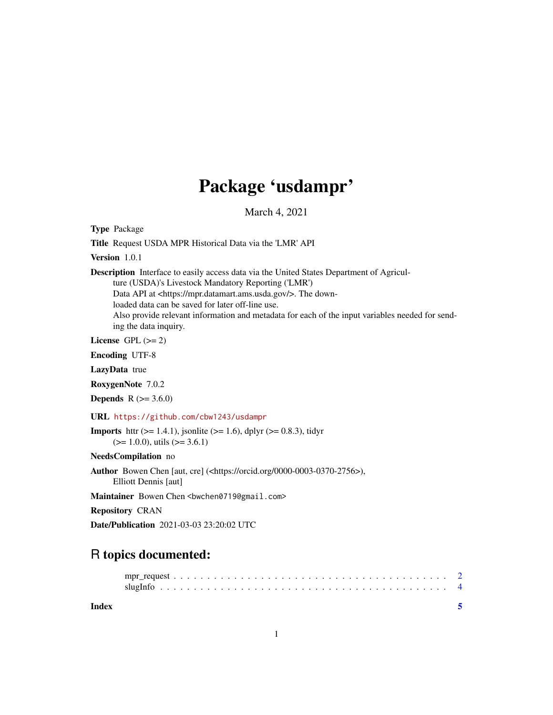## Package 'usdampr'

March 4, 2021

Type Package

Title Request USDA MPR Historical Data via the 'LMR' API

Version 1.0.1

Description Interface to easily access data via the United States Department of Agricul-

ture (USDA)'s Livestock Mandatory Reporting ('LMR')

Data API at <https://mpr.datamart.ams.usda.gov/>. The down-

loaded data can be saved for later off-line use.

Also provide relevant information and metadata for each of the input variables needed for sending the data inquiry.

License GPL  $(>= 2)$ 

Encoding UTF-8

LazyData true

RoxygenNote 7.0.2

**Depends** R  $(>= 3.6.0)$ 

URL <https://github.com/cbw1243/usdampr>

**Imports** httr ( $>= 1.4.1$ ), jsonlite ( $>= 1.6$ ), dplyr ( $>= 0.8.3$ ), tidyr  $(>= 1.0.0)$ , utils  $(>= 3.6.1)$ 

NeedsCompilation no

Author Bowen Chen [aut, cre] (<https://orcid.org/0000-0003-0370-2756>), Elliott Dennis [aut]

Maintainer Bowen Chen <br/>bwchen0719@gmail.com>

Repository CRAN

Date/Publication 2021-03-03 23:20:02 UTC

### R topics documented:

**Index** [5](#page-4-0). The second state of the second state of the second state of the second state of the second state of the second state of the second state of the second state of the second state of the second state of the second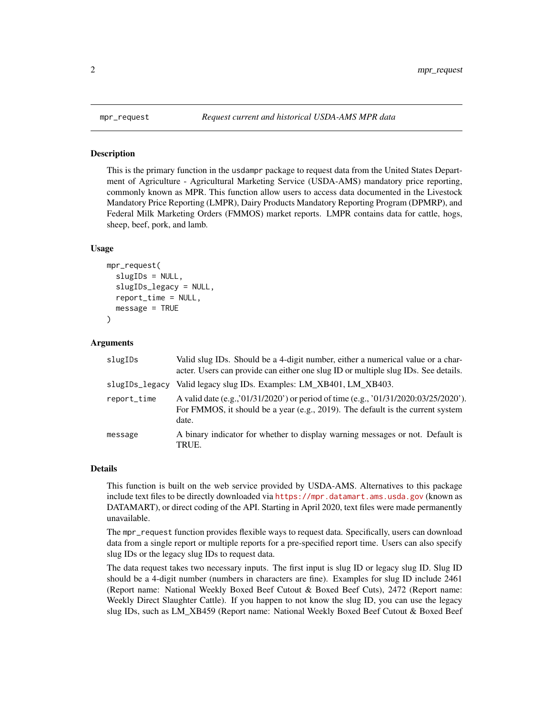<span id="page-1-0"></span>

#### Description

This is the primary function in the usdampr package to request data from the United States Department of Agriculture - Agricultural Marketing Service (USDA-AMS) mandatory price reporting, commonly known as MPR. This function allow users to access data documented in the Livestock Mandatory Price Reporting (LMPR), Dairy Products Mandatory Reporting Program (DPMRP), and Federal Milk Marketing Orders (FMMOS) market reports. LMPR contains data for cattle, hogs, sheep, beef, pork, and lamb.

#### Usage

```
mpr_request(
  slugIDs = NULL,slugIDs_legacy = NULL,
  report_time = NULL,
  message = TRUE
)
```
#### Arguments

| slugIDs        | Valid slug IDs. Should be a 4-digit number, either a numerical value or a char-<br>acter. Users can provide can either one slug ID or multiple slug IDs. See details.           |
|----------------|---------------------------------------------------------------------------------------------------------------------------------------------------------------------------------|
| slugIDs_legacy | Valid legacy slug IDs. Examples: LM_XB401, LM_XB403.                                                                                                                            |
| report_time    | A valid date (e.g., '01/31/2020') or period of time (e.g., '01/31/2020:03/25/2020').<br>For FMMOS, it should be a year (e.g., 2019). The default is the current system<br>date. |
| message        | A binary indicator for whether to display warning messages or not. Default is<br>TRUE.                                                                                          |

#### Details

This function is built on the web service provided by USDA-AMS. Alternatives to this package include text files to be directly downloaded via <https://mpr.datamart.ams.usda.gov> (known as DATAMART), or direct coding of the API. Starting in April 2020, text files were made permanently unavailable.

The mpr\_request function provides flexible ways to request data. Specifically, users can download data from a single report or multiple reports for a pre-specified report time. Users can also specify slug IDs or the legacy slug IDs to request data.

The data request takes two necessary inputs. The first input is slug ID or legacy slug ID. Slug ID should be a 4-digit number (numbers in characters are fine). Examples for slug ID include 2461 (Report name: National Weekly Boxed Beef Cutout & Boxed Beef Cuts), 2472 (Report name: Weekly Direct Slaughter Cattle). If you happen to not know the slug ID, you can use the legacy slug IDs, such as LM\_XB459 (Report name: National Weekly Boxed Beef Cutout & Boxed Beef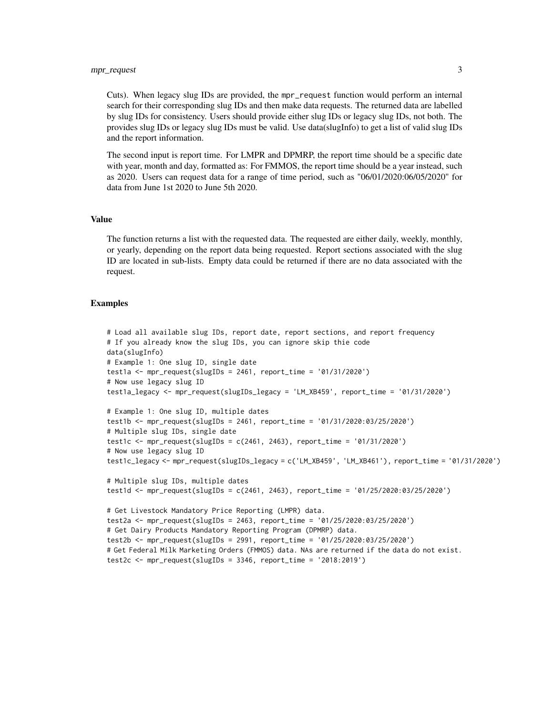Cuts). When legacy slug IDs are provided, the mpr\_request function would perform an internal search for their corresponding slug IDs and then make data requests. The returned data are labelled by slug IDs for consistency. Users should provide either slug IDs or legacy slug IDs, not both. The provides slug IDs or legacy slug IDs must be valid. Use data(slugInfo) to get a list of valid slug IDs and the report information.

The second input is report time. For LMPR and DPMRP, the report time should be a specific date with year, month and day, formatted as: For FMMOS, the report time should be a year instead, such as 2020. Users can request data for a range of time period, such as "06/01/2020:06/05/2020" for data from June 1st 2020 to June 5th 2020.

#### Value

The function returns a list with the requested data. The requested are either daily, weekly, monthly, or yearly, depending on the report data being requested. Report sections associated with the slug ID are located in sub-lists. Empty data could be returned if there are no data associated with the request.

#### Examples

```
# Load all available slug IDs, report date, report sections, and report frequency
# If you already know the slug IDs, you can ignore skip thie code
data(slugInfo)
# Example 1: One slug ID, single date
test1a <- mpr_request(slugIDs = 2461, report_time = '01/31/2020')
# Now use legacy slug ID
test1a_legacy <- mpr_request(slugIDs_legacy = 'LM_XB459', report_time = '01/31/2020')
# Example 1: One slug ID, multiple dates
test1b <- mpr_request(slugIDs = 2461, report_time = '01/31/2020:03/25/2020')
# Multiple slug IDs, single date
test1c <- mpr_request(slugIDs = c(2461, 2463), report_time = '01/31/2020')
# Now use legacy slug ID
test1c_legacy <- mpr_request(slugIDs_legacy = c('LM_XB459', 'LM_XB461'), report_time = '01/31/2020')
# Multiple slug IDs, multiple dates
test1d <- mpr_request(slugIDs = c(2461, 2463), report_time = '01/25/2020:03/25/2020')
# Get Livestock Mandatory Price Reporting (LMPR) data.
test2a <- mpr_request(slugIDs = 2463, report_time = '01/25/2020:03/25/2020')
# Get Dairy Products Mandatory Reporting Program (DPMRP) data.
test2b <- mpr_request(slugIDs = 2991, report_time = '01/25/2020:03/25/2020')
# Get Federal Milk Marketing Orders (FMMOS) data. NAs are returned if the data do not exist.
test2c <- mpr_request(slugIDs = 3346, report_time = '2018:2019')
```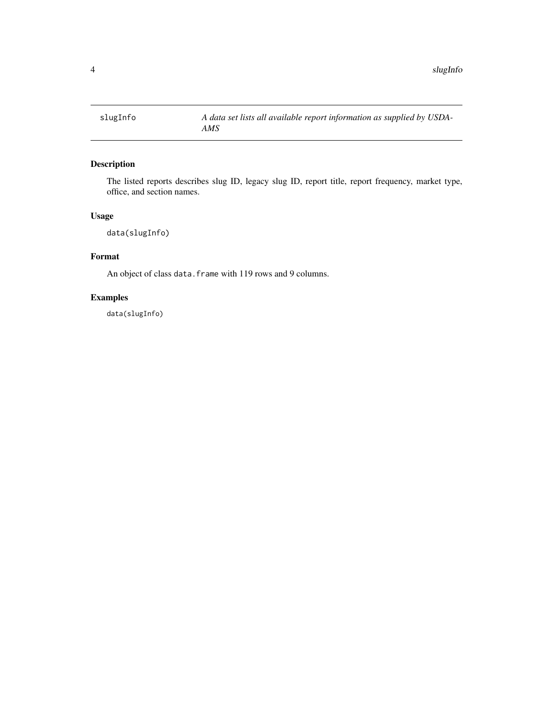<span id="page-3-0"></span>

#### Description

The listed reports describes slug ID, legacy slug ID, report title, report frequency, market type, office, and section names.

#### Usage

data(slugInfo)

#### Format

An object of class data. frame with 119 rows and 9 columns.

#### Examples

data(slugInfo)